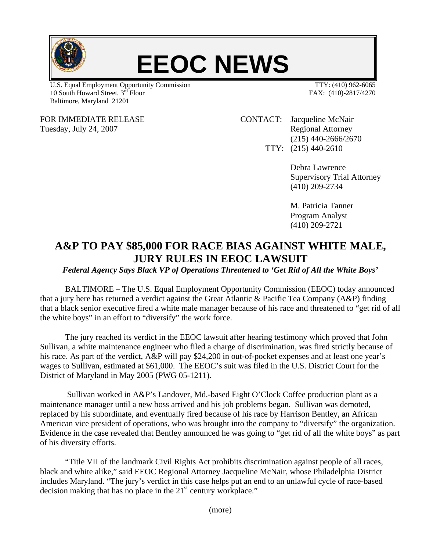

## **EEOC NEWS**

U.S. Equal Employment Opportunity Commission TTY: (410) 962-6065 10 South Howard Street, 3<sup>rd</sup> Floor FAX: (410)-2817/4270 Baltimore, Maryland 21201

FOR IMMEDIATE RELEASE CONTACT: Jacqueline McNair Tuesday, July 24, 2007 Tuesday, July 24, 2007 (215) 440-2666/2670 TTY: (215) 440-2610

> Debra Lawrence Supervisory Trial Attorney (410) 209-2734

 M. Patricia Tanner Program Analyst (410) 209-2721

## **A&P TO PAY \$85,000 FOR RACE BIAS AGAINST WHITE MALE, JURY RULES IN EEOC LAWSUIT**

*Federal Agency Says Black VP of Operations Threatened to 'Get Rid of All the White Boys'* 

BALTIMORE – The U.S. Equal Employment Opportunity Commission (EEOC) today announced that a jury here has returned a verdict against the Great Atlantic & Pacific Tea Company (A&P) finding that a black senior executive fired a white male manager because of his race and threatened to "get rid of all the white boys" in an effort to "diversify" the work force.

 The jury reached its verdict in the EEOC lawsuit after hearing testimony which proved that John Sullivan, a white maintenance engineer who filed a charge of discrimination, was fired strictly because of his race. As part of the verdict, A&P will pay \$24,200 in out-of-pocket expenses and at least one year's wages to Sullivan, estimated at \$61,000. The EEOC's suit was filed in the U.S. District Court for the District of Maryland in May 2005 (PWG 05-1211).

 Sullivan worked in A&P's Landover, Md.-based Eight O'Clock Coffee production plant as a maintenance manager until a new boss arrived and his job problems began. Sullivan was demoted, replaced by his subordinate, and eventually fired because of his race by Harrison Bentley, an African American vice president of operations, who was brought into the company to "diversify" the organization. Evidence in the case revealed that Bentley announced he was going to "get rid of all the white boys" as part of his diversity efforts.

 "Title VII of the landmark Civil Rights Act prohibits discrimination against people of all races, black and white alike," said EEOC Regional Attorney Jacqueline McNair, whose Philadelphia District includes Maryland. "The jury's verdict in this case helps put an end to an unlawful cycle of race-based decision making that has no place in the  $21<sup>st</sup>$  century workplace."

(more)